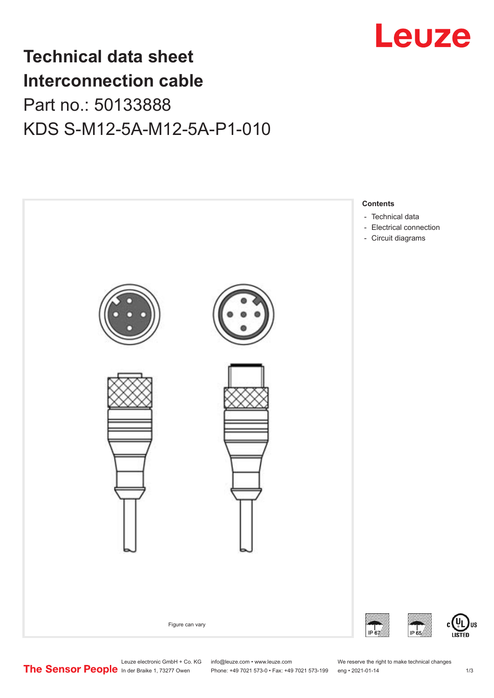

## **Technical data sheet Interconnection cable** Part no.: 50133888 KDS S-M12-5A-M12-5A-P1-010



Leuze electronic GmbH + Co. KG info@leuze.com • www.leuze.com We reserve the right to make technical changes<br>
The Sensor People in der Braike 1, 73277 Owen Phone: +49 7021 573-0 • Fax: +49 7021 573-199 eng • 2021-01-14

Phone: +49 7021 573-0 • Fax: +49 7021 573-199 eng • 2021-01-14 1 73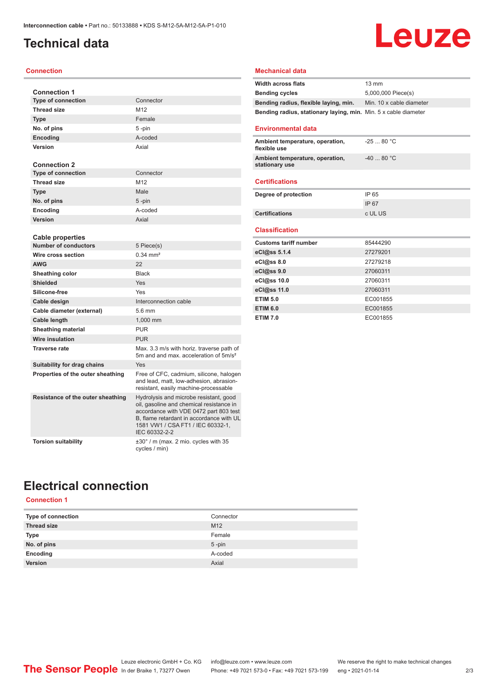## <span id="page-1-0"></span>**Technical data**

#### **Connection**

| <b>Connection 1</b>               |                                                                                                                                                                                                                                |
|-----------------------------------|--------------------------------------------------------------------------------------------------------------------------------------------------------------------------------------------------------------------------------|
| <b>Type of connection</b>         | Connector                                                                                                                                                                                                                      |
| <b>Thread size</b>                | M12                                                                                                                                                                                                                            |
| <b>Type</b>                       | Female                                                                                                                                                                                                                         |
| No. of pins                       | 5-pin                                                                                                                                                                                                                          |
| <b>Encoding</b>                   | A-coded                                                                                                                                                                                                                        |
| Version                           | Axial                                                                                                                                                                                                                          |
|                                   |                                                                                                                                                                                                                                |
| <b>Connection 2</b>               |                                                                                                                                                                                                                                |
| <b>Type of connection</b>         | Connector                                                                                                                                                                                                                      |
| <b>Thread size</b>                | M12                                                                                                                                                                                                                            |
| <b>Type</b>                       | Male                                                                                                                                                                                                                           |
| No. of pins                       | $5 - pin$                                                                                                                                                                                                                      |
| Encoding                          | A-coded                                                                                                                                                                                                                        |
| Version                           | Axial                                                                                                                                                                                                                          |
| <b>Cable properties</b>           |                                                                                                                                                                                                                                |
| <b>Number of conductors</b>       | 5 Piece(s)                                                                                                                                                                                                                     |
| Wire cross section                | $0.34 \, \text{mm}^2$                                                                                                                                                                                                          |
| <b>AWG</b>                        | 22                                                                                                                                                                                                                             |
| Sheathing color                   | <b>Black</b>                                                                                                                                                                                                                   |
| <b>Shielded</b>                   | Yes                                                                                                                                                                                                                            |
| Silicone-free                     | Yes                                                                                                                                                                                                                            |
| Cable design                      | Interconnection cable                                                                                                                                                                                                          |
|                                   | 5.6 mm                                                                                                                                                                                                                         |
| Cable diameter (external)         |                                                                                                                                                                                                                                |
| Cable length                      | 1,000 mm                                                                                                                                                                                                                       |
| <b>Sheathing material</b>         | <b>PUR</b>                                                                                                                                                                                                                     |
| <b>Wire insulation</b>            | <b>PUR</b>                                                                                                                                                                                                                     |
| <b>Traverse rate</b>              | Max. 3.3 m/s with horiz. traverse path of<br>5m and and max, acceleration of 5m/s <sup>2</sup>                                                                                                                                 |
| Suitability for drag chains       | Yes                                                                                                                                                                                                                            |
| Properties of the outer sheathing | Free of CFC, cadmium, silicone, halogen<br>and lead, matt, low-adhesion, abrasion-<br>resistant, easily machine-processable                                                                                                    |
| Resistance of the outer sheathing | Hydrolysis and microbe resistant, good<br>oil, gasoline and chemical resistance in<br>accordance with VDE 0472 part 803 test<br>B, flame retardant in accordance with UL<br>1581 VW1 / CSA FT1 / IEC 60332-1.<br>IEC 60332-2-2 |
| <b>Torsion suitability</b>        | $\pm 30^\circ$ / m (max. 2 mio. cycles with 35<br>cycles / min)                                                                                                                                                                |

#### **Mechanical data**

| <b>Width across flats</b>                                       | $13 \text{ mm}$          |
|-----------------------------------------------------------------|--------------------------|
| <b>Bending cycles</b>                                           | 5,000,000 Piece(s)       |
| Bending radius, flexible laying, min.                           | Min. 10 x cable diameter |
| Bending radius, stationary laying, min. Min. 5 x cable diameter |                          |
|                                                                 |                          |
| <b>Environmental data</b>                                       |                          |
| Ambient temperature, operation,<br>flexible use                 | $-2580 °C$               |
| Ambient temperature, operation,<br>stationary use               | $-4080 °C$               |
| <b>Certifications</b>                                           |                          |
| Degree of protection                                            | IP 65                    |
|                                                                 | IP 67                    |
| <b>Certifications</b>                                           | c UL US                  |
|                                                                 |                          |
| <b>Classification</b>                                           |                          |
| <b>Customs tariff number</b>                                    | 85444290                 |
| eCl@ss 5.1.4                                                    | 27279201                 |
| eCl@ss 8.0                                                      | 27279218                 |
| eCl@ss 9.0                                                      | 27060311                 |
| eCl@ss 10.0                                                     | 27060311                 |
| eCl@ss 11.0                                                     | 27060311                 |
| <b>ETIM 5.0</b>                                                 | EC001855                 |
| <b>ETIM 6.0</b>                                                 | EC001855                 |
| <b>ETIM 7.0</b>                                                 | EC001855                 |

Leuze

## **Electrical connection**

#### **Connection 1**

| Type of connection | Connector       |
|--------------------|-----------------|
| <b>Thread size</b> | M <sub>12</sub> |
| Type               | Female          |
| No. of pins        | $5 - pin$       |
| Encoding           | A-coded         |
| Version            | Axial           |